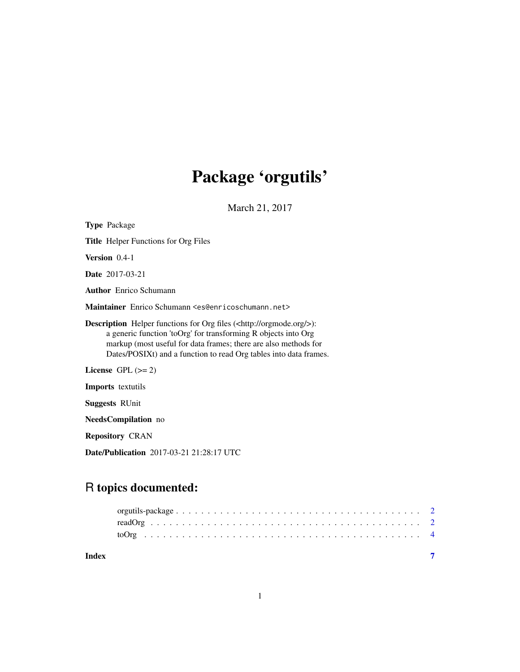# Package 'orgutils'

March 21, 2017

<span id="page-0-0"></span>

| <b>Type Package</b>                                                                                                                                                                                                                                                                             |
|-------------------------------------------------------------------------------------------------------------------------------------------------------------------------------------------------------------------------------------------------------------------------------------------------|
| <b>Title</b> Helper Functions for Org Files                                                                                                                                                                                                                                                     |
| <b>Version</b> $0.4-1$                                                                                                                                                                                                                                                                          |
| <b>Date</b> 2017-03-21                                                                                                                                                                                                                                                                          |
| <b>Author</b> Enrico Schumann                                                                                                                                                                                                                                                                   |
| Maintainer Enrico Schumann <es@enricoschumann.net></es@enricoschumann.net>                                                                                                                                                                                                                      |
| <b>Description</b> Helper functions for Org files ( <http: orgmode.org=""></http:> ):<br>a generic function 'toOrg' for transforming R objects into Org<br>markup (most useful for data frames; there are also methods for<br>Dates/POSIXt) and a function to read Org tables into data frames. |
| License $GPL (= 2)$                                                                                                                                                                                                                                                                             |
| <b>Imports</b> textutils                                                                                                                                                                                                                                                                        |
| <b>Suggests RUnit</b>                                                                                                                                                                                                                                                                           |
| <b>NeedsCompilation</b> no                                                                                                                                                                                                                                                                      |
| <b>Repository CRAN</b>                                                                                                                                                                                                                                                                          |
| Date/Publication 2017-03-21 21:28:17 UTC                                                                                                                                                                                                                                                        |

# R topics documented:

| Index |  |  |  |  |  |  |  |  |  |  |  |  |  |  |  |  |  |  |
|-------|--|--|--|--|--|--|--|--|--|--|--|--|--|--|--|--|--|--|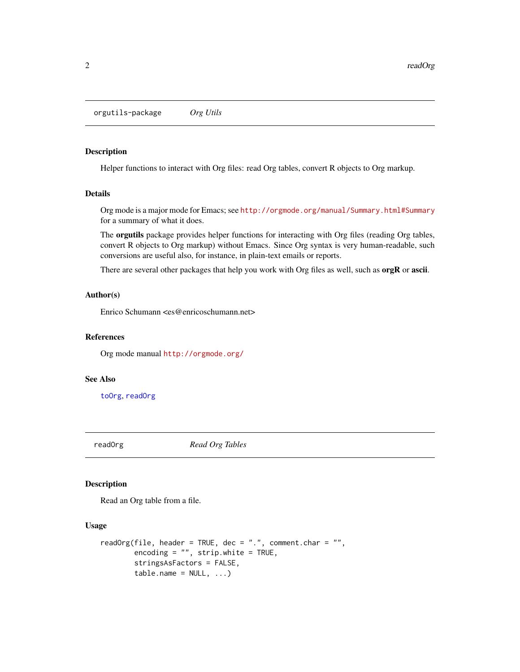<span id="page-1-0"></span>orgutils-package *Org Utils*

#### Description

Helper functions to interact with Org files: read Org tables, convert R objects to Org markup.

# Details

Org mode is a major mode for Emacs; see <http://orgmode.org/manual/Summary.html#Summary> for a summary of what it does.

The orgutils package provides helper functions for interacting with Org files (reading Org tables, convert R objects to Org markup) without Emacs. Since Org syntax is very human-readable, such conversions are useful also, for instance, in plain-text emails or reports.

There are several other packages that help you work with Org files as well, such as **orgR** or **ascii**.

#### Author(s)

Enrico Schumann <es@enricoschumann.net>

#### References

Org mode manual <http://orgmode.org/>

#### See Also

[toOrg](#page-3-1), [readOrg](#page-1-1)

<span id="page-1-1"></span>readOrg *Read Org Tables*

#### Description

Read an Org table from a file.

#### Usage

```
readOrg(file, header = TRUE, dec = ".", comment.char = "",
       encoding = ", strip.white = TRUE,
       stringsAsFactors = FALSE,
       table.name = NULL, ...)
```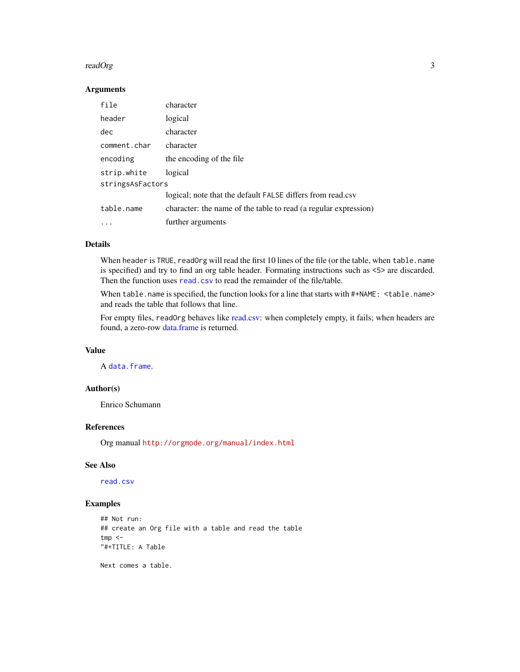#### <span id="page-2-0"></span>readOrg 3

# Arguments

| file             | character                                                       |
|------------------|-----------------------------------------------------------------|
| header           | logical                                                         |
| dec              | character                                                       |
| comment.char     | character                                                       |
| encoding         | the encoding of the file                                        |
| strip.white      | logical                                                         |
| stringsAsFactors |                                                                 |
|                  | logical; note that the default FALSE differs from read.csv      |
| table.name       | character: the name of the table to read (a regular expression) |
|                  | further arguments                                               |

# Details

When header is TRUE, readOrg will read the first 10 lines of the file (or the table, when table.name is specified) and try to find an org table header. Formating instructions such as <5> are discarded. Then the function uses [read.csv](#page-0-0) to read the remainder of the file/table.

When table.name is specified, the function looks for a line that starts with #+NAME: <table.name> and reads the table that follows that line.

For empty files, readOrg behaves like [read.csv:](#page-0-0) when completely empty, it fails; when headers are found, a zero-row [data.frame](#page-0-0) is returned.

# Value

A [data.frame](#page-0-0).

# Author(s)

Enrico Schumann

# References

Org manual <http://orgmode.org/manual/index.html>

#### See Also

[read.csv](#page-0-0)

# Examples

```
## Not run:
## create an Org file with a table and read the table
tmp < -"#+TITLE: A Table
```
Next comes a table.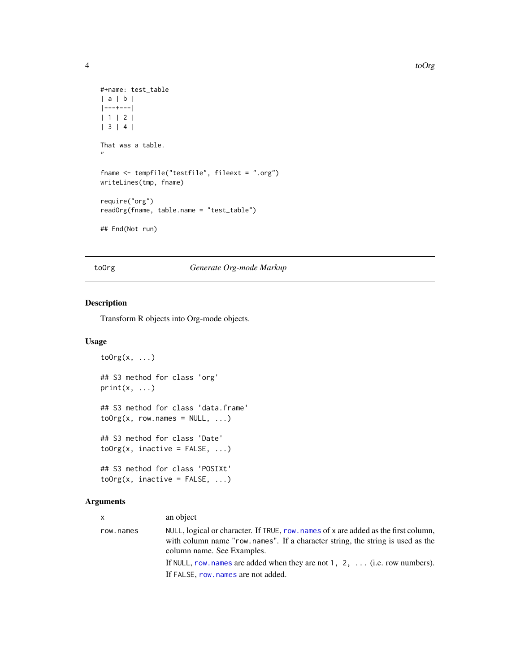```
#+name: test_table
| a | b |
|---+---|
| 1 | 2 |
| 3 | 4 |
That was a table.
"
fname <- tempfile("testfile", fileext = ".org")
writeLines(tmp, fname)
require("org")
readOrg(fname, table.name = "test_table")
## End(Not run)
```
# <span id="page-3-1"></span>toOrg *Generate Org-mode Markup*

# Description

Transform R objects into Org-mode objects.

# Usage

```
\text{toOrg}(x, \ldots)## S3 method for class 'org'
print(x, \ldots)## S3 method for class 'data.frame'
\text{toOrg}(x, \text{row.names = NULL}, \ldots)## S3 method for class 'Date'
\text{toOrg}(x, \text{ inactive} = \text{FALSE}, \dots)## S3 method for class 'POSIXt'
toOrg(x, inactive = FALSE, ...)
```
#### Arguments

| <b>X</b>  | an object                                                                                                                                                                                           |
|-----------|-----------------------------------------------------------------------------------------------------------------------------------------------------------------------------------------------------|
| row.names | NULL, logical or character. If TRUE, row, names of x are added as the first column,<br>with column name "row names". If a character string, the string is used as the<br>column name. See Examples. |
|           | If NULL, row names are added when they are not 1, 2, $\dots$ (i.e. row numbers).                                                                                                                    |
|           | If FALSE, row, names are not added.                                                                                                                                                                 |

<span id="page-3-0"></span>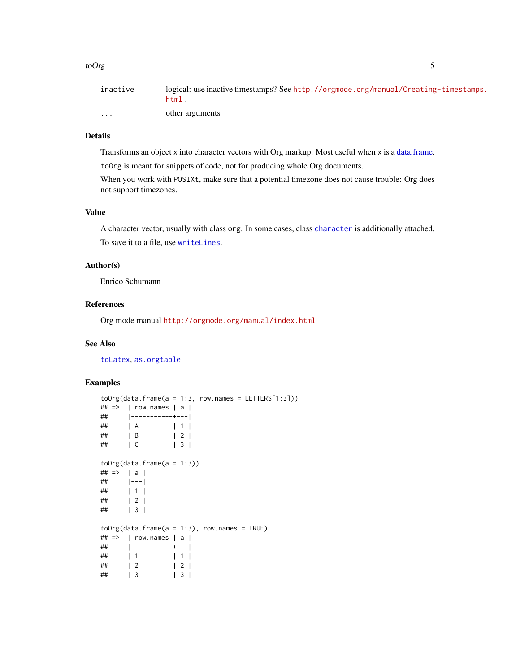#### <span id="page-4-0"></span>toOrg 5

| inactive | logical: use inactive timestamps? See http://orgmode.org/manual/Creating-timestamps. |
|----------|--------------------------------------------------------------------------------------|
|          | html.                                                                                |
| $\cdots$ | other arguments                                                                      |

# Details

Transforms an object x into character vectors with Org markup. Most useful when x is a [data.frame.](#page-0-0)

toOrg is meant for snippets of code, not for producing whole Org documents.

When you work with POSIXt, make sure that a potential timezone does not cause trouble: Org does not support timezones.

#### Value

A character vector, usually with class org. In some cases, class [character](#page-0-0) is additionally attached. To save it to a file, use [writeLines](#page-0-0).

# Author(s)

Enrico Schumann

# References

Org mode manual <http://orgmode.org/manual/index.html>

# See Also

[toLatex](#page-0-0), [as.orgtable](#page-0-0)

# Examples

```
\text{toOrg}(data.\text{frame}(a = 1:3, \text{ row}.\text{names} = \text{LETTERS}[1:3]))\# \# \Rightarrow | row.names | a |
## |-----------+---|
## | A | 1 |
## | B | 2 |
## | C | 3 |
toOrg(data, frame(a = 1:3))## => | a |## |---|
## | 1 |
## | 2 |
## | 3 |
toOrg(data-frame(a = 1:3), row.name = TRUE)\# \# \Rightarrow | row.names | a |
## |-----------+---|
## | 1 | 1 |
## | 2 | 2 |
## | 3 | 3 |
```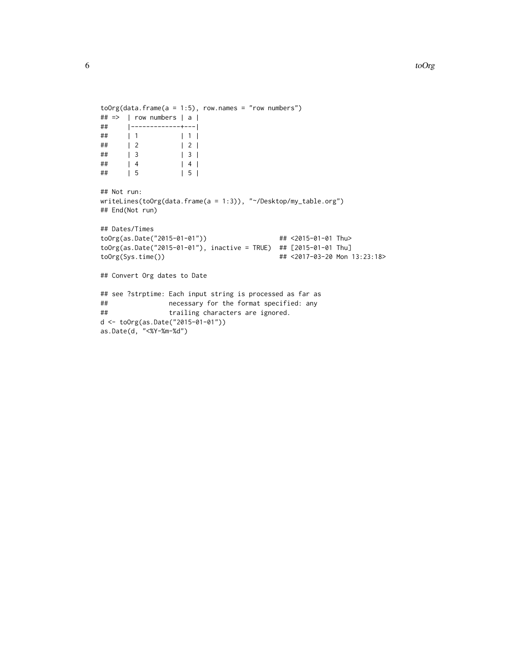```
toOrg(data, frame(a = 1:5), row. names = "row numbers")## => | row numbers | a |
     ## |-------------+---|
## | 1 | 1 |
     \begin{array}{ccc} \vert & 2 & \vert & \vert & 2 \end{array}## | 3 | 3 |
\# | 4 | 4 |
## | 5 | 5 |
```

```
## Not run:
writeLines(toOrg(data.frame(a = 1:3)), "~/Desktop/my_table.org")
## End(Not run)
```

```
## Dates/Times
toOrg(as.Date("2015-01-01")) ## <2015-01-01 Thu>
toOrg(as.Date("2015-01-01"), inactive = TRUE) ## [2015-01-01 Thu]
toOrg(Sys.time()) ## <2017-03-20 Mon 13:23:18>
```

```
## Convert Org dates to Date
```

```
## see ?strptime: Each input string is processed as far as
## necessary for the format specified: any
## trailing characters are ignored.
d <- toOrg(as.Date("2015-01-01"))
as.Date(d, "<%Y-%m-%d")
```